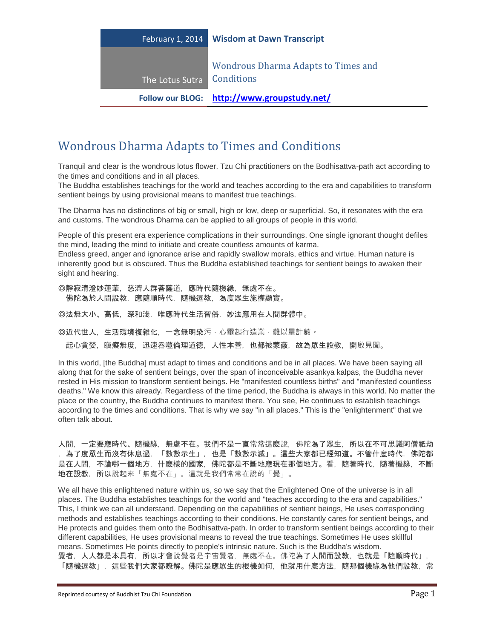| February 1, 2014 | <b>Wisdom at Dawn Transcript</b>                         |
|------------------|----------------------------------------------------------|
| The Lotus Sutra  | <b>Wondrous Dharma Adapts to Times and</b><br>Conditions |
|                  | Follow our BLOG: http://www.groupstudy.net/              |

## Wondrous Dharma Adapts to Times and Conditions

Tranquil and clear is the wondrous lotus flower. Tzu Chi practitioners on the Bodhisattva-path act according to the times and conditions and in all places.

The Buddha establishes teachings for the world and teaches according to the era and capabilities to transform sentient beings by using provisional means to manifest true teachings.

The Dharma has no distinctions of big or small, high or low, deep or superficial. So, it resonates with the era and customs. The wondrous Dharma can be applied to all groups of people in this world.

People of this present era experience complications in their surroundings. One single ignorant thought defiles the mind, leading the mind to initiate and create countless amounts of karma.

Endless greed, anger and ignorance arise and rapidly swallow morals, ethics and virtue. Human nature is inherently good but is obscured. Thus the Buddha established teachings for sentient beings to awaken their sight and hearing.

◎靜寂清澄妙蓮華,慈濟人群菩薩道,應時代隨機緣,無處不在。 佛陀為於人間設教,應隨順時代,隨機逗教,為度眾生施權顯實。

◎法無大小、高低,深和淺,唯應時代生活習俗,妙法應用在人間群體中。

◎近代世人,生活環境複雜化,一念無明染污,心靈起行造業,難以量計數。

起心貪婪,瞋癡無度,迅速吞噬倫理道德,人性本善,也都被蒙蔽,故為眾生設教,開啟見聞。

In this world, [the Buddha] must adapt to times and conditions and be in all places. We have been saying all along that for the sake of sentient beings, over the span of inconceivable asankya kalpas, the Buddha never rested in His mission to transform sentient beings. He "manifested countless births" and "manifested countless deaths." We know this already. Regardless of the time period, the Buddha is always in this world. No matter the place or the country, the Buddha continues to manifest there. You see, He continues to establish teachings according to the times and conditions. That is why we say "in all places." This is the "enlightenment" that we often talk about.

人間,一定要應時代、隨機緣,無處不在。我們不是一直常常這麼說,佛陀為了眾生,所以在不可思議阿僧祇劫 ,為了度眾生而沒有休息過,「數數示生」,也是「數數示滅」。這些大家都已經知道。不管什麼時代,佛陀都 是在人間,不論哪一個地方,什麼樣的國家,佛陀都是不斷地應現在那個地方。看,隨著時代,隨著機緣,不斷 地在設教,所以說起來「無處不在」。這就是我們常常在說的「覺」。

We all have this enlightened nature within us, so we say that the Enlightened One of the universe is in all places. The Buddha establishes teachings for the world and "teaches according to the era and capabilities." This, I think we can all understand. Depending on the capabilities of sentient beings, He uses corresponding methods and establishes teachings according to their conditions. He constantly cares for sentient beings, and He protects and guides them onto the Bodhisattva-path. In order to transform sentient beings according to their different capabilities, He uses provisional means to reveal the true teachings. Sometimes He uses skillful means. Sometimes He points directly to people's intrinsic nature. Such is the Buddha's wisdom. 覺者,人人都是本具有,所以才會說覺者是宇宙覺者,無處不在。佛陀為了人間而設教,也就是「隨順時代」, 「隨機逗教」,這些我們大家都瞭解。佛陀是應眾生的根機如何,他就用什麼方法,隨那個機緣為他們設教,常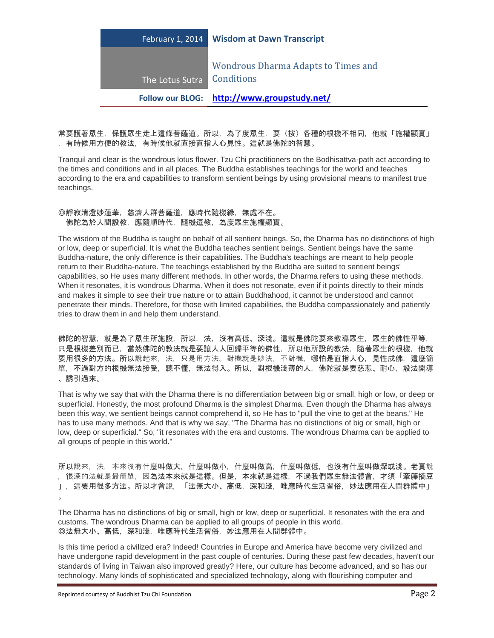|                  | Follow our BLOG: http://www.groupstudy.net/              |
|------------------|----------------------------------------------------------|
| The Lotus Sutra  | <b>Wondrous Dharma Adapts to Times and</b><br>Conditions |
| February 1, 2014 | <b>Wisdom at Dawn Transcript</b>                         |

常要護著眾生,保護眾生走上這條菩薩道。所以,為了度眾生,要(按)各種的根機不相同,他就「施權顯實」 ,有時候用方便的教法,有時候他就直接直指人心見性。這就是佛陀的智慧。

Tranquil and clear is the wondrous lotus flower. Tzu Chi practitioners on the Bodhisattva-path act according to the times and conditions and in all places. The Buddha establishes teachings for the world and teaches according to the era and capabilities to transform sentient beings by using provisional means to manifest true teachings.

## ◎靜寂清澄妙蓮華,慈濟人群菩薩道,應時代隨機緣,無處不在。 佛陀為於人間設教,應隨順時代,隨機逗教,為度眾生施權顯實。

The wisdom of the Buddha is taught on behalf of all sentient beings. So, the Dharma has no distinctions of high or low, deep or superficial. It is what the Buddha teaches sentient beings. Sentient beings have the same Buddha-nature, the only difference is their capabilities. The Buddha's teachings are meant to help people return to their Buddha-nature. The teachings established by the Buddha are suited to sentient beings' capabilities, so He uses many different methods. In other words, the Dharma refers to using these methods. When it resonates, it is wondrous Dharma. When it does not resonate, even if it points directly to their minds and makes it simple to see their true nature or to attain Buddhahood, it cannot be understood and cannot penetrate their minds. Therefore, for those with limited capabilities, the Buddha compassionately and patiently tries to draw them in and help them understand.

佛陀的智慧,就是為了眾生所施設,所以,法,沒有高低、深淺。這就是佛陀要來教導眾生,眾生的佛性平等, 只是根機差別而已,當然佛陀的教法就是要讓人人回歸平等的佛性,所以他所設的教法,隨著眾生的根機,他就 要用很多的方法。所以說起來,法,只是用方法。對機就是妙法,不對機,哪怕是直指人心,見性成佛,這麼簡 單,不過對方的根機無法接受,聽不懂,無法得入。所以,對根機淺薄的人,佛陀就是要慈悲、耐心,設法開導 、誘引過來。

That is why we say that with the Dharma there is no differentiation between big or small, high or low, or deep or superficial. Honestly, the most profound Dharma is the simplest Dharma. Even though the Dharma has always been this way, we sentient beings cannot comprehend it, so He has to "pull the vine to get at the beans." He has to use many methods. And that is why we say, "The Dharma has no distinctions of big or small, high or low, deep or superficial." So, "it resonates with the era and customs. The wondrous Dharma can be applied to all groups of people in this world."

所以說來,法,本來沒有什麼叫做大,什麼叫做小,什麼叫做高,什麼叫做低,也沒有什麼叫做深或淺。老實說 , 很深的法就是最簡單, 因為法本來就是這樣。但是, 本來就是這樣, 不過我們眾生無法體會, 才須「牽籐摘豆 」,這要用很多方法。所以才會說,「法無大小、高低,深和淺,唯應時代生活習俗,妙法應用在人間群體中」  $\circ$ 

The Dharma has no distinctions of big or small, high or low, deep or superficial. It resonates with the era and customs. The wondrous Dharma can be applied to all groups of people in this world. ◎法無大小、高低,深和淺,唯應時代生活習俗,妙法應用在人間群體中。

Is this time period a civilized era? Indeed! Countries in Europe and America have become very civilized and have undergone rapid development in the past couple of centuries. During these past few decades, haven't our standards of living in Taiwan also improved greatly? Here, our culture has become advanced, and so has our technology. Many kinds of sophisticated and specialized technology, along with flourishing computer and

Reprinted courtesy of Buddhist Tzu Chi Foundation **Page 2**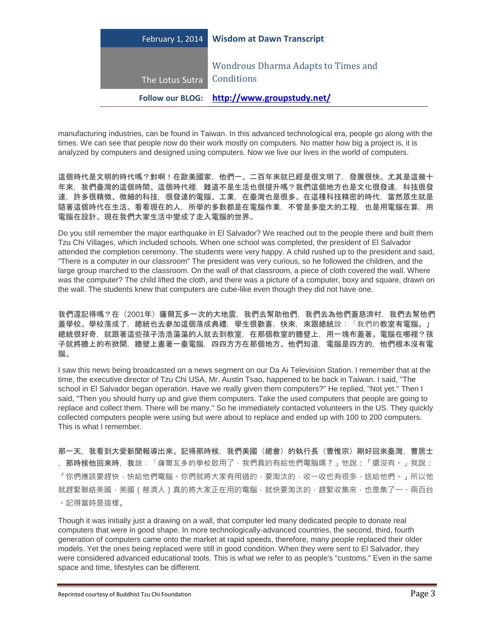|                  | Follow our BLOG: http://www.groupstudy.net/              |
|------------------|----------------------------------------------------------|
| The Lotus Sutra  | <b>Wondrous Dharma Adapts to Times and</b><br>Conditions |
| February 1, 2014 | <b>Wisdom at Dawn Transcript</b>                         |

manufacturing industries, can be found in Taiwan. In this advanced technological era, people go along with the times. We can see that people now do their work mostly on computers. No matter how big a project is, it is analyzed by computers and designed using computers. Now we live our lives in the world of computers.

這個時代是文明的時代嗎?對啊!在歐美國家,他們一、二百年來就已經是很文明了,發展很快。尤其是這幾十 年來,我們臺灣的這個時間、這個時代裡,難道不是生活也很提升嗎?我們這個地方也是文化很發達,科技很發 達,許多很精微、微細的科技,很發達的電腦、工業,在臺灣也是很多。在這種科技精密的時代,當然眾生就是 隨著這個時代在生活。看看現在的人,所學的多數都是在電腦作業,不管是多麼大的工程,也是用電腦在算,用 電腦在設計。現在我們大家生活中變成了走入電腦的世界。

Do you still remember the major earthquake in El Salvador? We reached out to the people there and built them Tzu Chi Villages, which included schools. When one school was completed, the president of El Salvador attended the completion ceremony. The students were very happy. A child rushed up to the president and said, "There is a computer in our classroom" The president was very curious, so he followed the children, and the large group marched to the classroom. On the wall of that classroom, a piece of cloth covered the wall. Where was the computer? The child lifted the cloth, and there was a picture of a computer, boxy and square, drawn on the wall. The students knew that computers are cube-like even though they did not have one.

我們還記得嗎?在(2001年)薩爾瓦多一次的大地震,我們去幫助他們,我們去為他們蓋慈濟村,我們去幫他們 蓋學校。學校落成了,總統也去參加這個落成典禮,學生很歡喜,快來,來跟總統說: 「我們的教室有電腦。」 總統很好奇,就跟著這些孩子浩浩蕩蕩的人就去到教室,在那個教室的牆壁上,用一塊布蓋著。電腦在哪裡?孩 子就將牆上的布掀開,牆壁上畫著一臺電腦,四四方方在那個地方。他們知道,電腦是四方的,他們根本沒有電 腦。

I saw this news being broadcasted on a news segment on our Da Ai Television Station. I remember that at the time, the executive director of Tzu Chi USA, Mr. Austin Tsao, happened to be back in Taiwan. I said, "The school in El Salvador began operation. Have we really given them computers?" He replied, "Not yet." Then I said, "Then you should hurry up and give them computers. Take the used computers that people are going to replace and collect them. There will be many." So he immediately contacted volunteers in the US. They quickly collected computers people were using but were about to replace and ended up with 100 to 200 computers. This is what I remember.

那一天,我看到大愛新聞報導出來。記得那時候,我們美國(總會)的執行長(曹惟宗)剛好回來臺灣,曹居士 , 那時候他回來時, 我說:「薩爾瓦多的學校啟用了·我們真的有給他們電腦嗎?」他說:「還沒有。」我說: 「你們應該要趕快,快給他們電腦。你們就將大家有用過的,要淘汰的,收一收也有很多,送給他們。」所以他 就趕緊聯絡美國,美國(慈濟人)真的將大家正在用的電腦,就快要淘汰的,趕緊收集來,也是集了一、兩百台 。記得當時是這樣。

Though it was initially just a drawing on a wall, that computer led many dedicated people to donate real computers that were in good shape. In more technologically-advanced countries, the second, third, fourth generation of computers came onto the market at rapid speeds, therefore, many people replaced their older models. Yet the ones being replaced were still in good condition. When they were sent to El Salvador, they were considered advanced educational tools. This is what we refer to as people's "customs." Even in the same space and time, lifestyles can be different.

Reprinted courtesy of Buddhist Tzu Chi Foundation **Page 3** and the state of Page 3 and the state of Page 3 and the state of Page 3 and the state of Page 3 and the state of Page 3 and the state of Page 3 and the state of Pa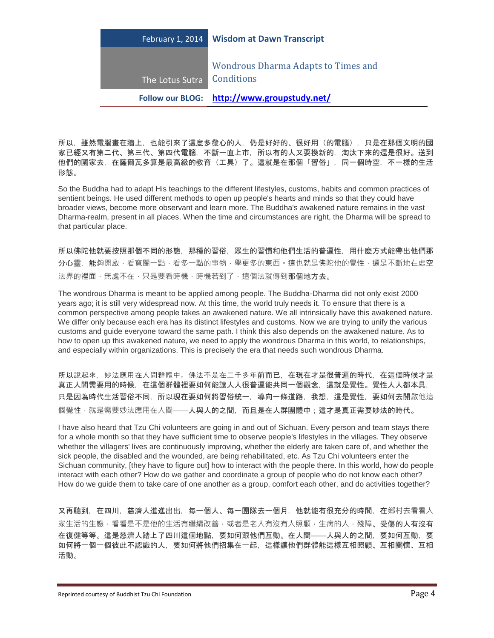| February 1, 2014           | <b>Wisdom at Dawn Transcript</b>            |
|----------------------------|---------------------------------------------|
| The Lotus Sutra Conditions | <b>Wondrous Dharma Adapts to Times and</b>  |
|                            | Follow our BLOG: http://www.groupstudy.net/ |

所以,雖然電腦畫在牆上,也能引來了這麼多發心的人,仍是好好的、很好用(的電腦),只是在那個文明的國 家已經又有第二代、第三代、第四代電腦,不斷一直上市,所以有的人又要換新的,淘汰下來的還是很好。送到 他們的國家去,在薩爾瓦多算是最高級的教育(工具)了。這就是在那個「習俗」,同一個時空,不一樣的生活 形態。

So the Buddha had to adapt His teachings to the different lifestyles, customs, habits and common practices of sentient beings. He used different methods to open up people's hearts and minds so that they could have broader views, become more observant and learn more. The Buddha's awakened nature remains in the vast Dharma-realm, present in all places. When the time and circumstances are right, the Dharma will be spread to that particular place.

所以佛陀他就要按照那個不同的形態,那種的習俗,眾生的習慣和他們生活的普遍性,用什麼方式能帶出他們那 分心靈,能夠開啟,看寬闊一點,看多一點的事物,學更多的東西。這也就是佛陀他的覺性,還是不斷地在虛空 法界的裡面,無處不在,只是要看時機,時機若到了,這個法就傳到那個地方去。

The wondrous Dharma is meant to be applied among people. The Buddha-Dharma did not only exist 2000 years ago; it is still very widespread now. At this time, the world truly needs it. To ensure that there is a common perspective among people takes an awakened nature. We all intrinsically have this awakened nature. We differ only because each era has its distinct lifestyles and customs. Now we are trying to unify the various customs and guide everyone toward the same path. I think this also depends on the awakened nature. As to how to open up this awakened nature, we need to apply the wondrous Dharma in this world, to relationships, and especially within organizations. This is precisely the era that needs such wondrous Dharma.

所以說起來,妙法應用在人間群體中。佛法不是在二千多年前而已,在現在才是很普遍的時代,在這個時候才是 真正人間需要用的時候,在這個群體裡要如何能讓人人很普遍能共同一個觀念,這就是覺性。覺性人人都本具, 只是因為時代生活習俗不同,所以現在要如何將習俗統一,導向一條道路,我想,這是覺性,要如何去開啟他這 個覺性 · 就是需要妙法應用在人間——人與人的之間,而且是在人群團體中 ; 這才是真正需要妙法的時代。

I have also heard that Tzu Chi volunteers are going in and out of Sichuan. Every person and team stays there for a whole month so that they have sufficient time to observe people's lifestyles in the villages. They observe whether the villagers' lives are continuously improving, whether the elderly are taken care of, and whether the sick people, the disabled and the wounded, are being rehabilitated, etc. As Tzu Chi volunteers enter the Sichuan community, [they have to figure out] how to interact with the people there. In this world, how do people interact with each other? How do we gather and coordinate a group of people who do not know each other? How do we guide them to take care of one another as a group, comfort each other, and do activities together?

又再聽到,在四川,慈濟人進進出出,每一個人、每一團隊去一個月,他就能有很充分的時間,在鄉村去看看人 家生活的生態,看看是不是他的生活有繼續改善,或者是老人有沒有人照顧,生病的人,殘障、受傷的人有沒有 在復健等等。這是慈濟人踏上了四川這個地點,要如何跟他們互動。在人間——人與人的之間,要如何互動,要 如何將一個一個彼此不認識的人,要如何將他們招集在一起,這樣讓他們群體能這樣互相照顧、互相關懷、互相 活動。

Reprinted courtesy of Buddhist Tzu Chi Foundation **Page 4** and the state of Page 4 and the Page 4 and the Page 4 and the Page 4 and the Page 4 and the Page 4 and the Page 4 and the Page 4 and the Page 4 and the Page 4 and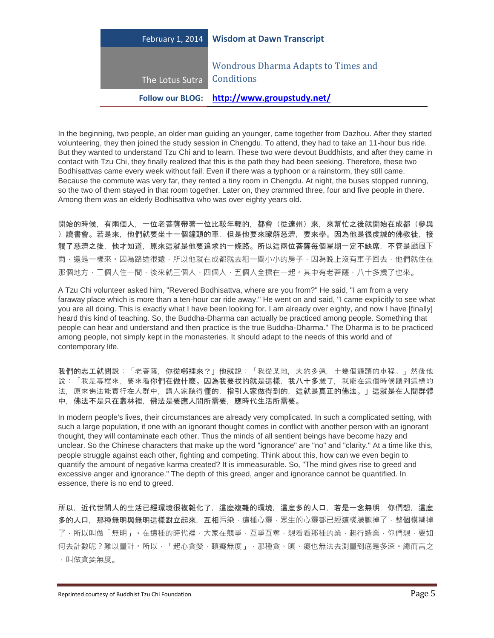| February 1, 2014 | <b>Wisdom at Dawn Transcript</b>                         |
|------------------|----------------------------------------------------------|
| The Lotus Sutra  | <b>Wondrous Dharma Adapts to Times and</b><br>Conditions |
|                  | Follow our BLOG: http://www.groupstudy.net/              |

In the beginning, two people, an older man guiding an younger, came together from Dazhou. After they started volunteering, they then joined the study session in Chengdu. To attend, they had to take an 11-hour bus ride. But they wanted to understand Tzu Chi and to learn. These two were devout Buddhists, and after they came in contact with Tzu Chi, they finally realized that this is the path they had been seeking. Therefore, these two Bodhisattvas came every week without fail. Even if there was a typhoon or a rainstorm, they still came. Because the commute was very far, they rented a tiny room in Chengdu. At night, the buses stopped running, so the two of them stayed in that room together. Later on, they crammed three, four and five people in there. Among them was an elderly Bodhisattva who was over eighty years old.

開始的時候,有兩個人,一位老菩薩帶著一位比較年輕的,都會(從達州)來,來幫忙之後就開始在成都(參與 )讀書會。若是來,他們就要坐十一個鐘頭的車,但是他要來瞭解慈濟,要來學。因為他是很虔誠的佛教徒,接 觸了慈濟之後,他才知道,原來這就是他要追求的一條路。所以這兩位菩薩每個星期一定不缺席,不管是颳風下 雨,還是一樣來。因為路途很遠,所以他就在成都就去租一間小小的房子,因為晚上沒有車子回去,他們就住在 那個地方﹐二個人住一間﹐後來就三個人、四個人、五個人全擠在一起﹐其中有老菩薩﹐八十多歲了也來。

A Tzu Chi volunteer asked him, "Revered Bodhisattva, where are you from?" He said, "I am from a very faraway place which is more than a ten-hour car ride away." He went on and said, "I came explicitly to see what you are all doing. This is exactly what I have been looking for. I am already over eighty, and now I have [finally] heard this kind of teaching. So, the Buddha-Dharma can actually be practiced among people. Something that people can hear and understand and then practice is the true Buddha-Dharma." The Dharma is to be practiced among people, not simply kept in the monasteries. It should adapt to the needs of this world and of contemporary life.

我們的志工就問說:「老菩薩,你從哪裡來?」他就說:「我從某地,大約多遠,十幾個鐘頭的車程。」然後他 說:「我是專程來,要來看你們在做什麼。因為我要找的就是這樣,我八十多歲了,我能在這個時候聽到這樣的 法,原來佛法能實行在人群中,講人家聽得懂的,指引人家做得到的,這就是真正的佛法。」這就是在人間群體 中,佛法不是只在叢林裡,佛法是要應人間所需要,應時代生活所需要。

In modern people's lives, their circumstances are already very complicated. In such a complicated setting, with such a large population, if one with an ignorant thought comes in conflict with another person with an ignorant thought, they will contaminate each other. Thus the minds of all sentient beings have become hazy and unclear. So the Chinese characters that make up the word "ignorance" are "no" and "clarity." At a time like this, people struggle against each other, fighting and competing. Think about this, how can we even begin to quantify the amount of negative karma created? It is immeasurable. So, "The mind gives rise to greed and excessive anger and ignorance." The depth of this greed, anger and ignorance cannot be quantified. In essence, there is no end to greed.

所以,近代世間人的生活已經環境很複雜化了,這麼複雜的環境,這麼多的人口,若是一念無明,你們想,這麼 多的人口,那種無明與無明這樣對立起來,互相污染,這種心靈,眾生的心靈都已經這樣朦朧掉了,整個模糊掉 了,所以叫做「無明」。在這種的時代裡,大家在競爭,互爭互奪,想看看那種的業,起行造業,你們想,要如 何去計數呢?難以量計。所以,「起心貪婪,瞋癡無度」,那種貪、瞋、癡也無法去測量到底是多深。總而言之 ,叫做貪婪無度。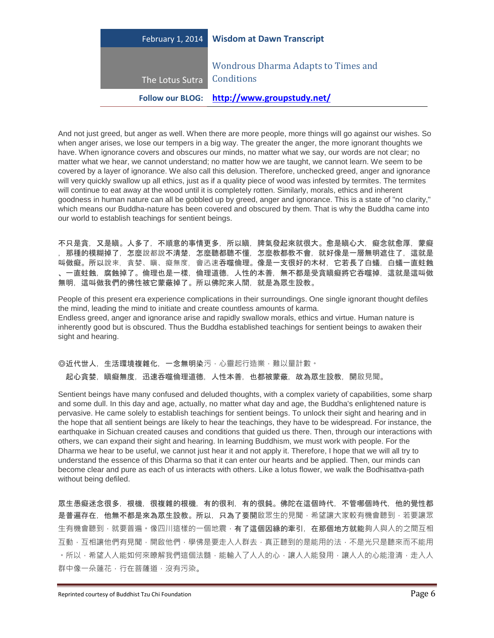

And not just greed, but anger as well. When there are more people, more things will go against our wishes. So when anger arises, we lose our tempers in a big way. The greater the anger, the more ignorant thoughts we have. When ignorance covers and obscures our minds, no matter what we say, our words are not clear; no matter what we hear, we cannot understand; no matter how we are taught, we cannot learn. We seem to be covered by a layer of ignorance. We also call this delusion. Therefore, unchecked greed, anger and ignorance will very quickly swallow up all ethics, just as if a quality piece of wood was infested by termites. The termites will continue to eat away at the wood until it is completely rotten. Similarly, morals, ethics and inherent goodness in human nature can all be gobbled up by greed, anger and ignorance. This is a state of "no clarity," which means our Buddha-nature has been covered and obscured by them. That is why the Buddha came into our world to establish teachings for sentient beings.

不只是貪,又是瞋。人多了,不順意的事情更多,所以瞋,脾氣發起來就很大。愈是瞋心大,癡念就愈厚,蒙癡 ,那種的模糊掉了,怎麼說都說不清楚,怎麼聽都聽不懂,怎麼教都教不會,就好像是一層無明遮住了,這就是 叫做癡。所以說來,貪婪、瞋、癡無度,會迅速吞噬倫理。像是一支很好的木材,它若長了白蟻,白蟻一直蛀蝕 、一直蛀蝕,腐蝕掉了。倫理也是一樣,倫理道德,人性的本善,無不都是受貪瞋癡將它吞噬掉,這就是這叫做 無明,這叫做我們的佛性被它蒙蔽掉了。所以佛陀來人間,就是為眾生設教。

People of this present era experience complications in their surroundings. One single ignorant thought defiles the mind, leading the mind to initiate and create countless amounts of karma. Endless greed, anger and ignorance arise and rapidly swallow morals, ethics and virtue. Human nature is inherently good but is obscured. Thus the Buddha established teachings for sentient beings to awaken their sight and hearing.

◎近代世人,生活環境複雜化,一念無明染污,心靈起行造業,難以量計數。 起心貪婪,瞋癡無度,迅速吞噬倫理道德,人性本善,也都被蒙蔽,故為眾生設教,開啟見聞。

Sentient beings have many confused and deluded thoughts, with a complex variety of capabilities, some sharp and some dull. In this day and age, actually, no matter what day and age, the Buddha's enlightened nature is pervasive. He came solely to establish teachings for sentient beings. To unlock their sight and hearing and in the hope that all sentient beings are likely to hear the teachings, they have to be widespread. For instance, the earthquake in Sichuan created causes and conditions that guided us there. Then, through our interactions with others, we can expand their sight and hearing. In learning Buddhism, we must work with people. For the Dharma we hear to be useful, we cannot just hear it and not apply it. Therefore, I hope that we will all try to understand the essence of this Dharma so that it can enter our hearts and be applied. Then, our minds can become clear and pure as each of us interacts with others. Like a lotus flower, we walk the Bodhisattva-path without being defiled.

眾生愚癡迷念很多,根機,很複雜的根機,有的很利,有的很鈍。佛陀在這個時代,不管哪個時代,他的覺性都 是普遍存在,他無不都是來為眾生設教。所以,只為了要開啟眾生的見聞,希望讓大家較有機會聽到,若要讓眾 生有機會聽到,就要普遍。像四川這樣的一個地震,有了這個因緣的牽引,在那個地方就能夠人與人的之間互相 互動,互相讓他們有見聞,開啟他們,學佛是要走入人群去,真正聽到的是能用的法,不是光只是聽來而不能用 。所以,希望人人能如何來瞭解我們這個法髓,能輸入了人人的心,讓人人能發用,讓人人的心能澄清,走入人 群中像一朵蓮花,行在菩薩道,沒有污染。